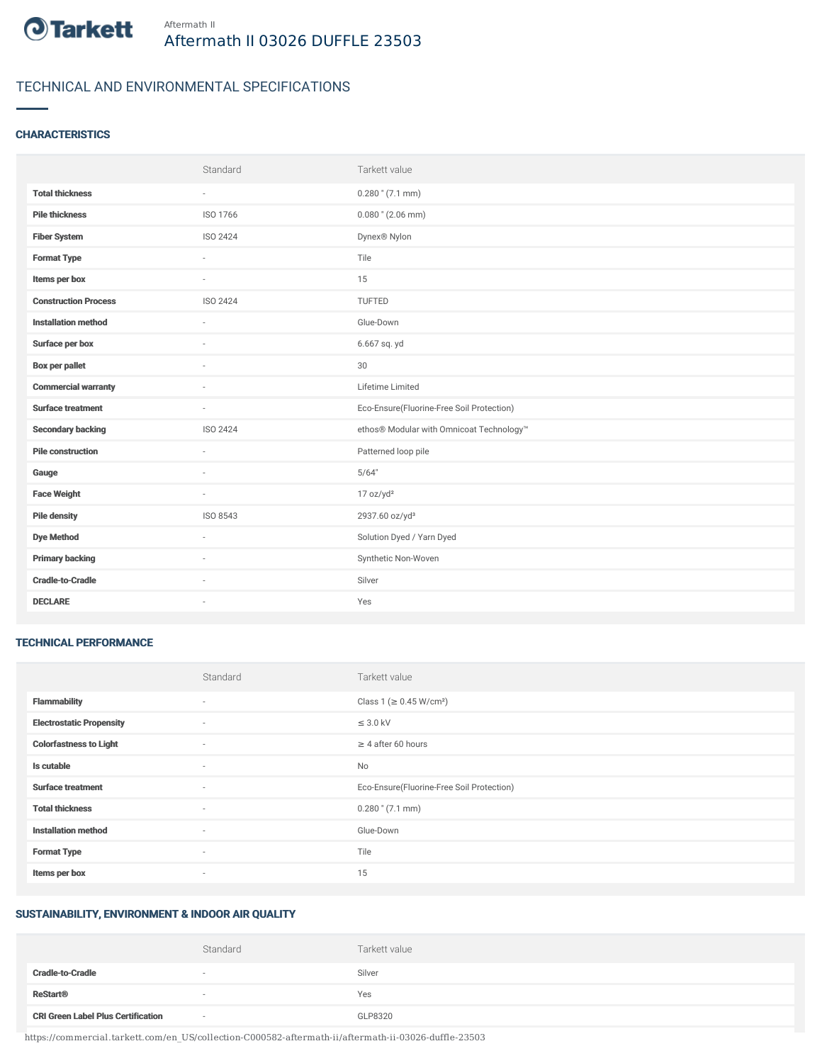

# TECHNICAL AND ENVIRONMENTAL SPECIFICATIONS

#### **CHARACTERISTICS**

|                             | Standard | Tarkett value                             |
|-----------------------------|----------|-------------------------------------------|
| <b>Total thickness</b>      | $\sim$   | $0.280$ " (7.1 mm)                        |
| <b>Pile thickness</b>       | ISO 1766 | $0.080$ " (2.06 mm)                       |
| <b>Fiber System</b>         | ISO 2424 | Dynex <sup>®</sup> Nylon                  |
| <b>Format Type</b>          | ٠        | Tile                                      |
| Items per box               | $\sim$   | 15                                        |
| <b>Construction Process</b> | ISO 2424 | TUFTED                                    |
| <b>Installation method</b>  | ×.       | Glue-Down                                 |
| Surface per box             | ä,       | 6.667 sq. yd                              |
| <b>Box per pallet</b>       | ٠        | 30                                        |
| <b>Commercial warranty</b>  |          | Lifetime Limited                          |
| <b>Surface treatment</b>    | $\sim$   | Eco-Ensure(Fluorine-Free Soil Protection) |
| <b>Secondary backing</b>    | ISO 2424 | ethos® Modular with Omnicoat Technology™  |
| <b>Pile construction</b>    | $\sim$   | Patterned loop pile                       |
| Gauge                       |          | 5/64"                                     |
| <b>Face Weight</b>          | $\sim$   | 17 oz/yd <sup>2</sup>                     |
| <b>Pile density</b>         | ISO 8543 | 2937.60 oz/yd <sup>3</sup>                |
| <b>Dye Method</b>           | $\sim$   | Solution Dyed / Yarn Dyed                 |
| <b>Primary backing</b>      |          | Synthetic Non-Woven                       |
| <b>Cradle-to-Cradle</b>     | ×.       | Silver                                    |
| <b>DECLARE</b>              | ٠        | Yes                                       |

#### TECHNICAL PERFORMANCE

|                                 | Standard | Tarkett value                             |
|---------------------------------|----------|-------------------------------------------|
| <b>Flammability</b>             | ٠        | Class 1 ( $\geq$ 0.45 W/cm <sup>2</sup> ) |
| <b>Electrostatic Propensity</b> | $\sim$   | $\leq$ 3.0 kV                             |
| <b>Colorfastness to Light</b>   | $\sim$   | $\geq 4$ after 60 hours                   |
| Is cutable                      | $\sim$   | No                                        |
| <b>Surface treatment</b>        | $\sim$   | Eco-Ensure(Fluorine-Free Soil Protection) |
| <b>Total thickness</b>          | $\sim$   | $0.280$ " (7.1 mm)                        |
| <b>Installation method</b>      | $\sim$   | Glue-Down                                 |
| <b>Format Type</b>              | $\sim$   | Tile                                      |
| Items per box                   | $\sim$   | 15                                        |

## SUSTAINABILITY, ENVIRONMENT & INDOOR AIR QUALITY

|                                           | Standard | Tarkett value |
|-------------------------------------------|----------|---------------|
| <b>Cradle-to-Cradle</b>                   |          | Silver        |
| <b>ReStart®</b>                           |          | Yes           |
| <b>CRI Green Label Plus Certification</b> | $\sim$   | GLP8320       |

https://commercial.tarkett.com/en\_US/collection-C000582-aftermath-ii/aftermath-ii-03026-duffle-23503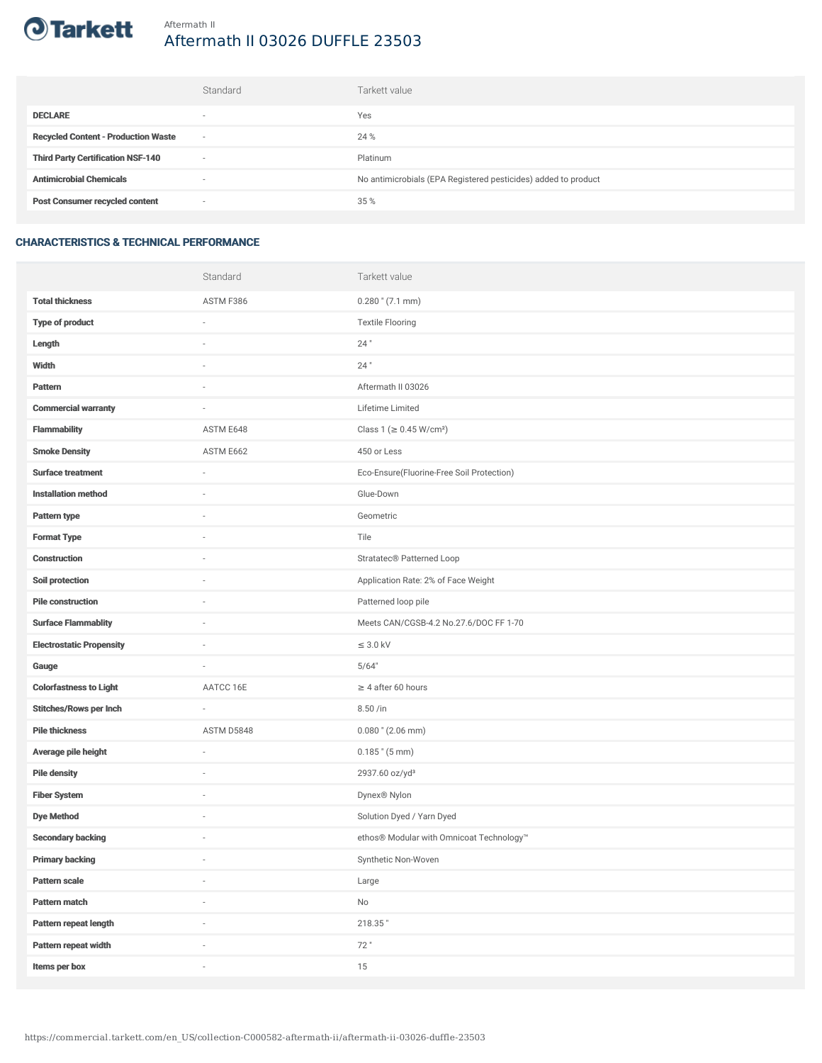

# Aftermath II 03026 DUFFLE 23503

|                                            | Standard | Tarkett value                                                  |
|--------------------------------------------|----------|----------------------------------------------------------------|
| <b>DECLARE</b>                             | $\sim$   | Yes                                                            |
| <b>Recycled Content - Production Waste</b> |          | 24 %                                                           |
| <b>Third Party Certification NSF-140</b>   | $\sim$   | Platinum                                                       |
| <b>Antimicrobial Chemicals</b>             |          | No antimicrobials (EPA Registered pesticides) added to product |
| <b>Post Consumer recycled content</b>      | $\sim$   | 35 %                                                           |

### CHARACTERISTICS & TECHNICAL PERFORMANCE

|                                 | Standard   | Tarkett value                             |
|---------------------------------|------------|-------------------------------------------|
| <b>Total thickness</b>          | ASTM F386  | $0.280$ " (7.1 mm)                        |
| <b>Type of product</b>          | i.         | <b>Textile Flooring</b>                   |
| Length                          |            | $24$ "                                    |
| Width                           | ×,         | $24$ "                                    |
| <b>Pattern</b>                  |            | Aftermath II 03026                        |
| <b>Commercial warranty</b>      | ä,         | Lifetime Limited                          |
| Flammability                    | ASTM E648  | Class 1 (≥ 0.45 W/cm <sup>2</sup> )       |
| <b>Smoke Density</b>            | ASTM E662  | 450 or Less                               |
| <b>Surface treatment</b>        | $\sim$     | Eco-Ensure(Fluorine-Free Soil Protection) |
| <b>Installation method</b>      | ä,         | Glue-Down                                 |
| Pattern type                    |            | Geometric                                 |
| <b>Format Type</b>              |            | Tile                                      |
| <b>Construction</b>             | ×,         | Stratatec® Patterned Loop                 |
| Soil protection                 |            | Application Rate: 2% of Face Weight       |
| <b>Pile construction</b>        |            | Patterned loop pile                       |
| <b>Surface Flammablity</b>      | $\sim$     | Meets CAN/CGSB-4.2 No.27.6/DOC FF 1-70    |
| <b>Electrostatic Propensity</b> | i.         | $\leq$ 3.0 kV                             |
| Gauge                           | $\sim$     | 5/64"                                     |
| <b>Colorfastness to Light</b>   | AATCC 16E  | $\geq$ 4 after 60 hours                   |
| <b>Stitches/Rows per Inch</b>   |            | 8.50 /in                                  |
| <b>Pile thickness</b>           | ASTM D5848 | $0.080$ " (2.06 mm)                       |
| Average pile height             | ÷,         | $0.185$ " (5 mm)                          |
| <b>Pile density</b>             |            | 2937.60 oz/yd <sup>3</sup>                |
| <b>Fiber System</b>             | ä,         | Dynex® Nylon                              |
| <b>Dye Method</b>               | $\sim$     | Solution Dyed / Yarn Dyed                 |
| <b>Secondary backing</b>        | i.         | ethos® Modular with Omnicoat Technology™  |
| <b>Primary backing</b>          | ÷          | Synthetic Non-Woven                       |
| <b>Pattern scale</b>            | ×,         | Large                                     |
| Pattern match                   |            | $\mathsf{No}$                             |
| Pattern repeat length           | i.         | 218.35"                                   |
| Pattern repeat width            |            | 72"                                       |
| Items per box                   | ×,         | 15                                        |